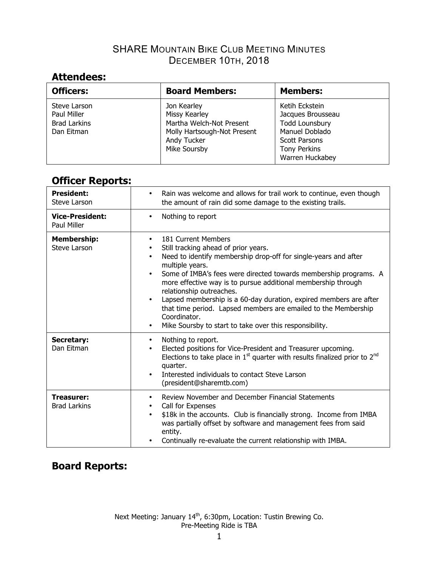## **Attendees:**

| <b>Officers:</b>                                                 | <b>Board Members:</b>                                                                                                  | <b>Members:</b>                                                                                                                                  |
|------------------------------------------------------------------|------------------------------------------------------------------------------------------------------------------------|--------------------------------------------------------------------------------------------------------------------------------------------------|
| Steve Larson<br>Paul Miller<br><b>Brad Larkins</b><br>Dan Eitman | Jon Kearley<br>Missy Kearley<br>Martha Welch-Not Present<br>Molly Hartsough-Not Present<br>Andy Tucker<br>Mike Soursby | Ketih Eckstein<br>Jacques Brousseau<br><b>Todd Lounsbury</b><br>Manuel Doblado<br><b>Scott Parsons</b><br><b>Tony Perkins</b><br>Warren Huckabey |

#### **Officer Reports:**

| <b>President:</b><br>Steve Larson        | Rain was welcome and allows for trail work to continue, even though<br>$\bullet$<br>the amount of rain did some damage to the existing trails.                                                                                                                                                                                                                                                                                                                                                                                                                                                                     |
|------------------------------------------|--------------------------------------------------------------------------------------------------------------------------------------------------------------------------------------------------------------------------------------------------------------------------------------------------------------------------------------------------------------------------------------------------------------------------------------------------------------------------------------------------------------------------------------------------------------------------------------------------------------------|
| <b>Vice-President:</b><br>Paul Miller    | Nothing to report<br>$\bullet$                                                                                                                                                                                                                                                                                                                                                                                                                                                                                                                                                                                     |
| <b>Membership:</b><br>Steve Larson       | 181 Current Members<br>$\bullet$<br>Still tracking ahead of prior years.<br>$\bullet$<br>Need to identify membership drop-off for single-years and after<br>$\bullet$<br>multiple years.<br>Some of IMBA's fees were directed towards membership programs. A<br>$\bullet$<br>more effective way is to pursue additional membership through<br>relationship outreaches.<br>Lapsed membership is a 60-day duration, expired members are after<br>$\bullet$<br>that time period. Lapsed members are emailed to the Membership<br>Coordinator.<br>Mike Soursby to start to take over this responsibility.<br>$\bullet$ |
| <b>Secretary:</b><br>Dan Fitman          | Nothing to report.<br>$\bullet$<br>Elected positions for Vice-President and Treasurer upcoming.<br>$\bullet$<br>Elections to take place in $1st$ quarter with results finalized prior to $2nd$<br>quarter.<br>Interested individuals to contact Steve Larson<br>$\bullet$<br>(president@sharemtb.com)                                                                                                                                                                                                                                                                                                              |
| <b>Treasurer:</b><br><b>Brad Larkins</b> | Review November and December Financial Statements<br>$\bullet$<br>Call for Expenses<br>٠<br>\$18k in the accounts. Club is financially strong. Income from IMBA<br>$\bullet$<br>was partially offset by software and management fees from said<br>entity.<br>Continually re-evaluate the current relationship with IMBA.<br>$\bullet$                                                                                                                                                                                                                                                                              |

# **Board Reports:**

Next Meeting: January 14<sup>th</sup>, 6:30pm, Location: Tustin Brewing Co. Pre-Meeting Ride is TBA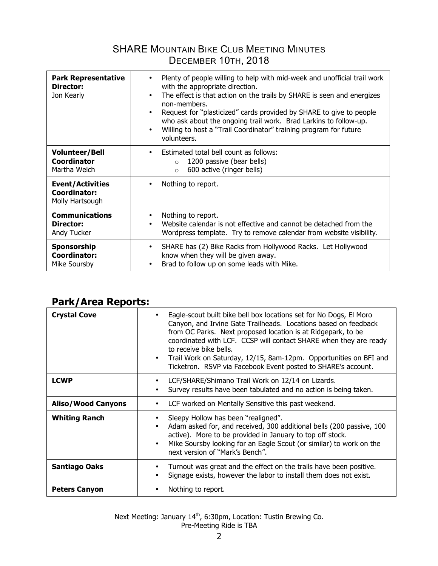| <b>Park Representative</b><br>Director:<br>Jon Kearly      | Plenty of people willing to help with mid-week and unofficial trail work<br>٠<br>with the appropriate direction.<br>The effect is that action on the trails by SHARE is seen and energizes<br>$\bullet$<br>non-members.<br>Request for "plasticized" cards provided by SHARE to give to people<br>$\bullet$<br>who ask about the ongoing trail work. Brad Larkins to follow-up.<br>Willing to host a "Trail Coordinator" training program for future<br>$\bullet$<br>volunteers. |
|------------------------------------------------------------|----------------------------------------------------------------------------------------------------------------------------------------------------------------------------------------------------------------------------------------------------------------------------------------------------------------------------------------------------------------------------------------------------------------------------------------------------------------------------------|
| <b>Volunteer/Bell</b><br>Coordinator<br>Martha Welch       | Estimated total bell count as follows:<br>$\bullet$<br>1200 passive (bear bells)<br>$\Omega$<br>600 active (ringer bells)<br>$\Omega$                                                                                                                                                                                                                                                                                                                                            |
| <b>Event/Activities</b><br>Coordinator:<br>Molly Hartsough | Nothing to report.<br>٠                                                                                                                                                                                                                                                                                                                                                                                                                                                          |
| <b>Communications</b><br>Director:<br>Andy Tucker          | Nothing to report.<br>Website calendar is not effective and cannot be detached from the<br>Wordpress template. Try to remove calendar from website visibility.                                                                                                                                                                                                                                                                                                                   |
| Sponsorship<br>Coordinator:<br>Mike Soursby                | SHARE has (2) Bike Racks from Hollywood Racks. Let Hollywood<br>$\bullet$<br>know when they will be given away.<br>Brad to follow up on some leads with Mike.<br>٠                                                                                                                                                                                                                                                                                                               |

## **Park/Area Reports:**

| <b>Crystal Cove</b>       | Eagle-scout built bike bell box locations set for No Dogs, El Moro<br>Canyon, and Irvine Gate Trailheads. Locations based on feedback<br>from OC Parks. Next proposed location is at Ridgepark, to be<br>coordinated with LCF. CCSP will contact SHARE when they are ready<br>to receive bike bells.<br>Trail Work on Saturday, 12/15, 8am-12pm. Opportunities on BFI and<br>$\bullet$<br>Ticketron. RSVP via Facebook Event posted to SHARE's account. |
|---------------------------|---------------------------------------------------------------------------------------------------------------------------------------------------------------------------------------------------------------------------------------------------------------------------------------------------------------------------------------------------------------------------------------------------------------------------------------------------------|
| <b>LCWP</b>               | LCF/SHARE/Shimano Trail Work on 12/14 on Lizards.<br>٠<br>Survey results have been tabulated and no action is being taken.                                                                                                                                                                                                                                                                                                                              |
| <b>Aliso/Wood Canyons</b> | LCF worked on Mentally Sensitive this past weekend.<br>٠                                                                                                                                                                                                                                                                                                                                                                                                |
| <b>Whiting Ranch</b>      | Sleepy Hollow has been "realigned".<br>Adam asked for, and received, 300 additional bells (200 passive, 100<br>$\bullet$<br>active). More to be provided in January to top off stock.<br>Mike Soursby looking for an Eagle Scout (or similar) to work on the<br>$\bullet$<br>next version of "Mark's Bench".                                                                                                                                            |
| Santiago Oaks             | Turnout was great and the effect on the trails have been positive.<br>٠<br>Signage exists, however the labor to install them does not exist.                                                                                                                                                                                                                                                                                                            |
| <b>Peters Canyon</b>      | Nothing to report.                                                                                                                                                                                                                                                                                                                                                                                                                                      |

Next Meeting: January 14<sup>th</sup>, 6:30pm, Location: Tustin Brewing Co. Pre-Meeting Ride is TBA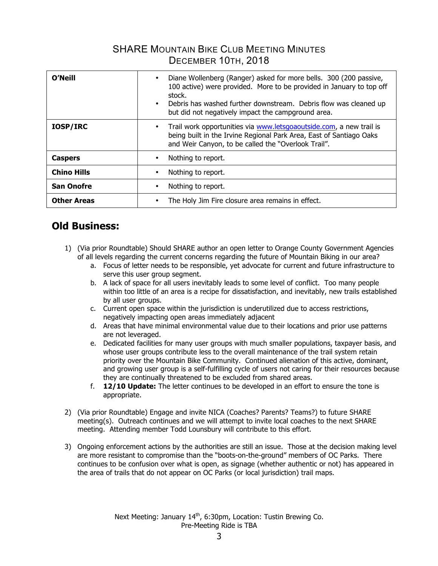| <b>O'Neill</b>     | Diane Wollenberg (Ranger) asked for more bells. 300 (200 passive,<br>$\bullet$<br>100 active) were provided. More to be provided in January to top off<br>stock.<br>Debris has washed further downstream. Debris flow was cleaned up<br>$\bullet$<br>but did not negatively impact the campground area. |
|--------------------|---------------------------------------------------------------------------------------------------------------------------------------------------------------------------------------------------------------------------------------------------------------------------------------------------------|
| <b>IOSP/IRC</b>    | Trail work opportunities via www.letsgoaoutside.com, a new trail is<br>$\bullet$<br>being built in the Irvine Regional Park Area, East of Santiago Oaks<br>and Weir Canyon, to be called the "Overlook Trail".                                                                                          |
| <b>Caspers</b>     | Nothing to report.<br>$\bullet$                                                                                                                                                                                                                                                                         |
| <b>Chino Hills</b> | Nothing to report.<br>٠                                                                                                                                                                                                                                                                                 |
| <b>San Onofre</b>  | Nothing to report.<br>٠                                                                                                                                                                                                                                                                                 |
| <b>Other Areas</b> | The Holy Jim Fire closure area remains in effect.                                                                                                                                                                                                                                                       |

## **Old Business:**

- 1) (Via prior Roundtable) Should SHARE author an open letter to Orange County Government Agencies of all levels regarding the current concerns regarding the future of Mountain Biking in our area?
	- a. Focus of letter needs to be responsible, yet advocate for current and future infrastructure to serve this user group segment.
	- b. A lack of space for all users inevitably leads to some level of conflict. Too many people within too little of an area is a recipe for dissatisfaction, and inevitably, new trails established by all user groups.
	- c. Current open space within the jurisdiction is underutilized due to access restrictions, negatively impacting open areas immediately adjacent
	- d. Areas that have minimal environmental value due to their locations and prior use patterns are not leveraged.
	- e. Dedicated facilities for many user groups with much smaller populations, taxpayer basis, and whose user groups contribute less to the overall maintenance of the trail system retain priority over the Mountain Bike Community. Continued alienation of this active, dominant, and growing user group is a self-fulfilling cycle of users not caring for their resources because they are continually threatened to be excluded from shared areas.
	- f. **12/10 Update:** The letter continues to be developed in an effort to ensure the tone is appropriate.
- 2) (Via prior Roundtable) Engage and invite NICA (Coaches? Parents? Teams?) to future SHARE meeting(s). Outreach continues and we will attempt to invite local coaches to the next SHARE meeting. Attending member Todd Lounsbury will contribute to this effort.
- 3) Ongoing enforcement actions by the authorities are still an issue. Those at the decision making level are more resistant to compromise than the "boots-on-the-ground" members of OC Parks. There continues to be confusion over what is open, as signage (whether authentic or not) has appeared in the area of trails that do not appear on OC Parks (or local jurisdiction) trail maps.